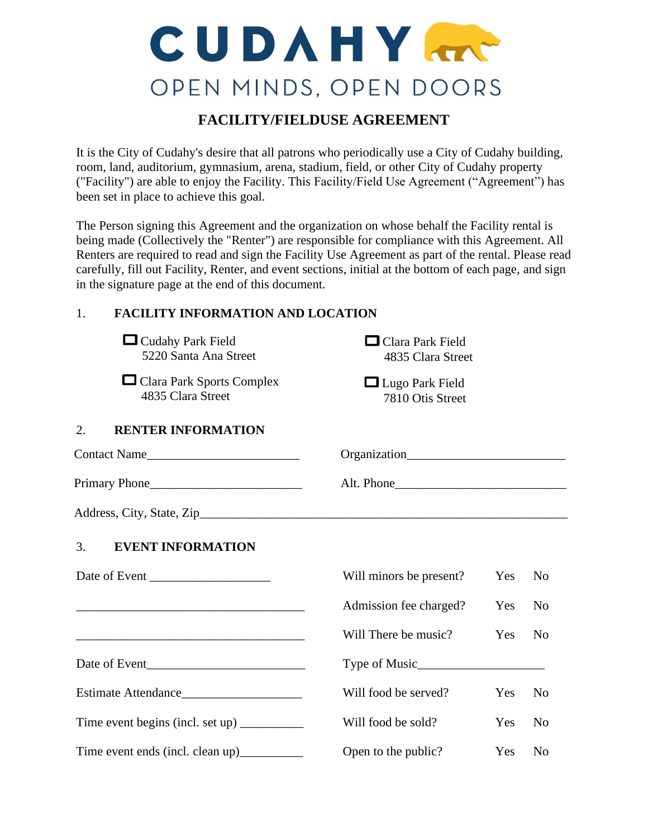# CUDAHY OPEN MINDS, OPEN DOORS

# **FACILITY/FIELDUSE AGREEMENT**

It is the City of Cudahy's desire that all patrons who periodically use a City of Cudahy building, room, land, auditorium, gymnasium, arena, stadium, field, or other City of Cudahy property ("Facility") are able to enjoy the Facility. This Facility/Field Use Agreement ("Agreement") has been set in place to achieve this goal.

The Person signing this Agreement and the organization on whose behalf the Facility rental is being made (Collectively the "Renter") are responsible for compliance with this Agreement. All Renters are required to read and sign the Facility Use Agreement as part of the rental. Please read carefully, fill out Facility, Renter, and event sections, initial at the bottom of each page, and sign in the signature page at the end of this document.

# 1. **FACILITY INFORMATION AND LOCATION**

| $\Box$ Cudahy Park Field<br>5220 Santa Ana Street | $\Box$ Clara Park Field<br>4835 Clara Street |     |                |
|---------------------------------------------------|----------------------------------------------|-----|----------------|
| □ Clara Park Sports Complex<br>4835 Clara Street  | $\Box$ Lugo Park Field<br>7810 Otis Street   |     |                |
| 2.<br><b>RENTER INFORMATION</b>                   |                                              |     |                |
| Contact Name                                      |                                              |     |                |
|                                                   |                                              |     |                |
|                                                   |                                              |     |                |
| 3.<br><b>EVENT INFORMATION</b>                    |                                              |     |                |
| Date of Event                                     | Will minors be present?                      | Yes | N <sub>0</sub> |
|                                                   | Admission fee charged?                       | Yes | N <sub>0</sub> |
|                                                   | Will There be music?                         | Yes | N <sub>0</sub> |
|                                                   |                                              |     |                |
|                                                   | Will food be served?                         | Yes | N <sub>0</sub> |
| Time event begins (incl. set up)                  | Will food be sold?                           | Yes | N <sub>0</sub> |
| Time event ends (incl. clean up)___________       | Open to the public?                          | Yes | N <sub>0</sub> |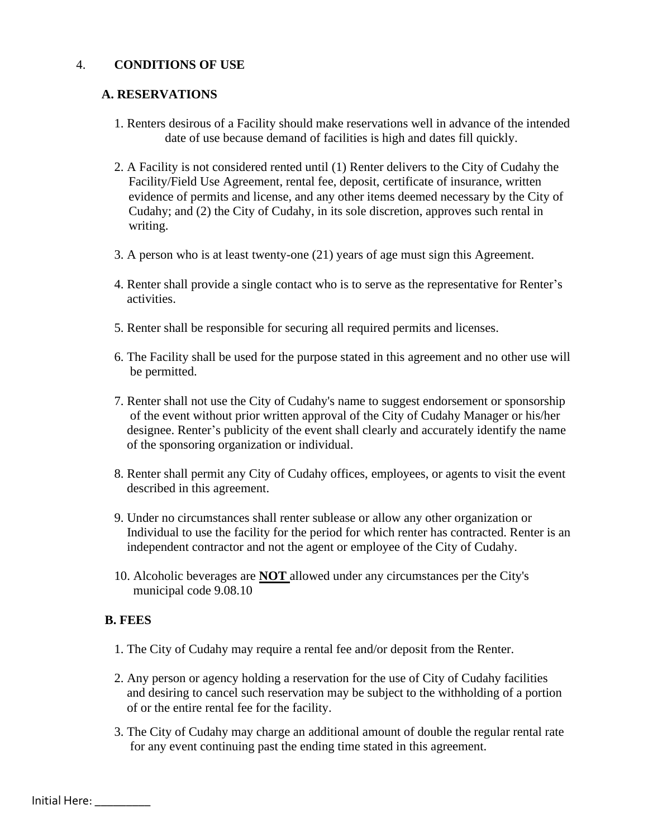#### 4. **CONDITIONS OF USE**

#### **A. RESERVATIONS**

- 1. Renters desirous of a Facility should make reservations well in advance of the intended date of use because demand of facilities is high and dates fill quickly.
- 2. A Facility is not considered rented until (1) Renter delivers to the City of Cudahy the Facility/Field Use Agreement, rental fee, deposit, certificate of insurance, written evidence of permits and license, and any other items deemed necessary by the City of Cudahy; and (2) the City of Cudahy, in its sole discretion, approves such rental in writing.
- 3. A person who is at least twenty-one (21) years of age must sign this Agreement.
- 4. Renter shall provide a single contact who is to serve as the representative for Renter's activities.
- 5. Renter shall be responsible for securing all required permits and licenses.
- 6. The Facility shall be used for the purpose stated in this agreement and no other use will be permitted.
- 7. Renter shall not use the City of Cudahy's name to suggest endorsement or sponsorship of the event without prior written approval of the City of Cudahy Manager or his/her designee. Renter's publicity of the event shall clearly and accurately identify the name of the sponsoring organization or individual.
- 8. Renter shall permit any City of Cudahy offices, employees, or agents to visit the event described in this agreement.
- 9. Under no circumstances shall renter sublease or allow any other organization or Individual to use the facility for the period for which renter has contracted. Renter is an independent contractor and not the agent or employee of the City of Cudahy.
- 10. Alcoholic beverages are **NOT** allowed under any circumstances per the City's municipal code 9.08.10

#### **B. FEES**

- 1. The City of Cudahy may require a rental fee and/or deposit from the Renter.
- 2. Any person or agency holding a reservation for the use of City of Cudahy facilities and desiring to cancel such reservation may be subject to the withholding of a portion of or the entire rental fee for the facility.
- 3. The City of Cudahy may charge an additional amount of double the regular rental rate for any event continuing past the ending time stated in this agreement.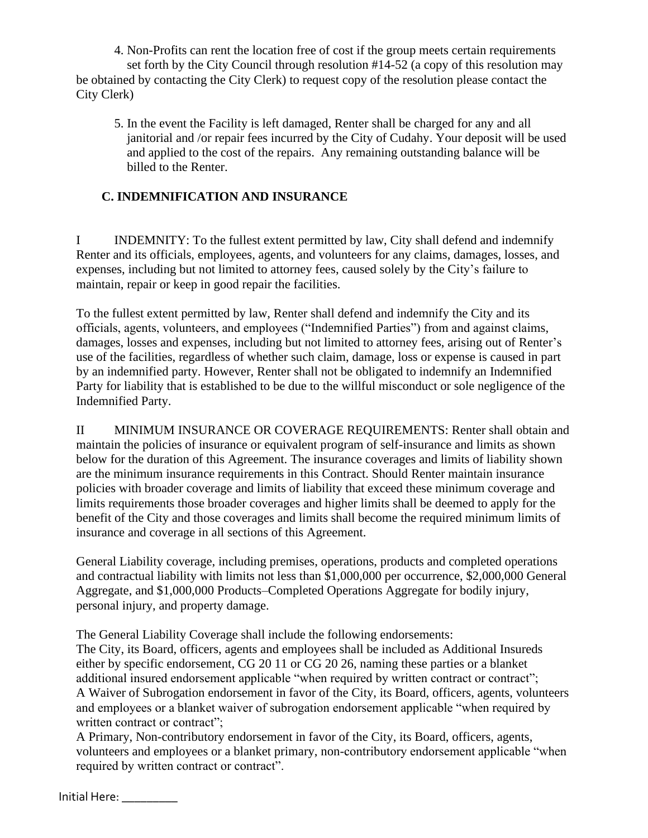4. Non-Profits can rent the location free of cost if the group meets certain requirements set forth by the City Council through resolution #14-52 (a copy of this resolution may

be obtained by contacting the City Clerk) to request copy of the resolution please contact the City Clerk)

5. In the event the Facility is left damaged, Renter shall be charged for any and all janitorial and /or repair fees incurred by the City of Cudahy. Your deposit will be used and applied to the cost of the repairs. Any remaining outstanding balance will be billed to the Renter.

## **C. INDEMNIFICATION AND INSURANCE**

I INDEMNITY: To the fullest extent permitted by law, City shall defend and indemnify Renter and its officials, employees, agents, and volunteers for any claims, damages, losses, and expenses, including but not limited to attorney fees, caused solely by the City's failure to maintain, repair or keep in good repair the facilities.

To the fullest extent permitted by law, Renter shall defend and indemnify the City and its officials, agents, volunteers, and employees ("Indemnified Parties") from and against claims, damages, losses and expenses, including but not limited to attorney fees, arising out of Renter's use of the facilities, regardless of whether such claim, damage, loss or expense is caused in part by an indemnified party. However, Renter shall not be obligated to indemnify an Indemnified Party for liability that is established to be due to the willful misconduct or sole negligence of the Indemnified Party.

II MINIMUM INSURANCE OR COVERAGE REQUIREMENTS: Renter shall obtain and maintain the policies of insurance or equivalent program of self-insurance and limits as shown below for the duration of this Agreement. The insurance coverages and limits of liability shown are the minimum insurance requirements in this Contract. Should Renter maintain insurance policies with broader coverage and limits of liability that exceed these minimum coverage and limits requirements those broader coverages and higher limits shall be deemed to apply for the benefit of the City and those coverages and limits shall become the required minimum limits of insurance and coverage in all sections of this Agreement.

General Liability coverage, including premises, operations, products and completed operations and contractual liability with limits not less than \$1,000,000 per occurrence, \$2,000,000 General Aggregate, and \$1,000,000 Products–Completed Operations Aggregate for bodily injury, personal injury, and property damage.

The General Liability Coverage shall include the following endorsements: The City, its Board, officers, agents and employees shall be included as Additional Insureds either by specific endorsement, CG 20 11 or CG 20 26, naming these parties or a blanket additional insured endorsement applicable "when required by written contract or contract"; A Waiver of Subrogation endorsement in favor of the City, its Board, officers, agents, volunteers and employees or a blanket waiver of subrogation endorsement applicable "when required by written contract or contract";

A Primary, Non-contributory endorsement in favor of the City, its Board, officers, agents, volunteers and employees or a blanket primary, non-contributory endorsement applicable "when required by written contract or contract".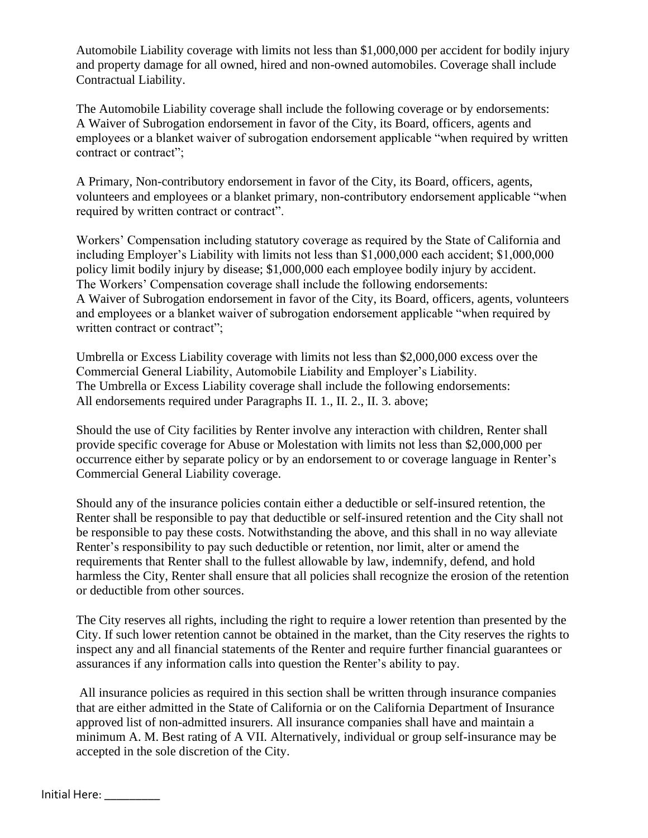Automobile Liability coverage with limits not less than \$1,000,000 per accident for bodily injury and property damage for all owned, hired and non-owned automobiles. Coverage shall include Contractual Liability.

The Automobile Liability coverage shall include the following coverage or by endorsements: A Waiver of Subrogation endorsement in favor of the City, its Board, officers, agents and employees or a blanket waiver of subrogation endorsement applicable "when required by written contract or contract";

A Primary, Non-contributory endorsement in favor of the City, its Board, officers, agents, volunteers and employees or a blanket primary, non-contributory endorsement applicable "when required by written contract or contract".

Workers' Compensation including statutory coverage as required by the State of California and including Employer's Liability with limits not less than \$1,000,000 each accident; \$1,000,000 policy limit bodily injury by disease; \$1,000,000 each employee bodily injury by accident. The Workers' Compensation coverage shall include the following endorsements: A Waiver of Subrogation endorsement in favor of the City, its Board, officers, agents, volunteers and employees or a blanket waiver of subrogation endorsement applicable "when required by written contract or contract";

Umbrella or Excess Liability coverage with limits not less than \$2,000,000 excess over the Commercial General Liability, Automobile Liability and Employer's Liability. The Umbrella or Excess Liability coverage shall include the following endorsements: All endorsements required under Paragraphs II. 1., II. 2., II. 3. above;

Should the use of City facilities by Renter involve any interaction with children, Renter shall provide specific coverage for Abuse or Molestation with limits not less than \$2,000,000 per occurrence either by separate policy or by an endorsement to or coverage language in Renter's Commercial General Liability coverage.

Should any of the insurance policies contain either a deductible or self-insured retention, the Renter shall be responsible to pay that deductible or self-insured retention and the City shall not be responsible to pay these costs. Notwithstanding the above, and this shall in no way alleviate Renter's responsibility to pay such deductible or retention, nor limit, alter or amend the requirements that Renter shall to the fullest allowable by law, indemnify, defend, and hold harmless the City, Renter shall ensure that all policies shall recognize the erosion of the retention or deductible from other sources.

The City reserves all rights, including the right to require a lower retention than presented by the City. If such lower retention cannot be obtained in the market, than the City reserves the rights to inspect any and all financial statements of the Renter and require further financial guarantees or assurances if any information calls into question the Renter's ability to pay.

All insurance policies as required in this section shall be written through insurance companies that are either admitted in the State of California or on the California Department of Insurance approved list of non-admitted insurers. All insurance companies shall have and maintain a minimum A. M. Best rating of A VII. Alternatively, individual or group self-insurance may be accepted in the sole discretion of the City.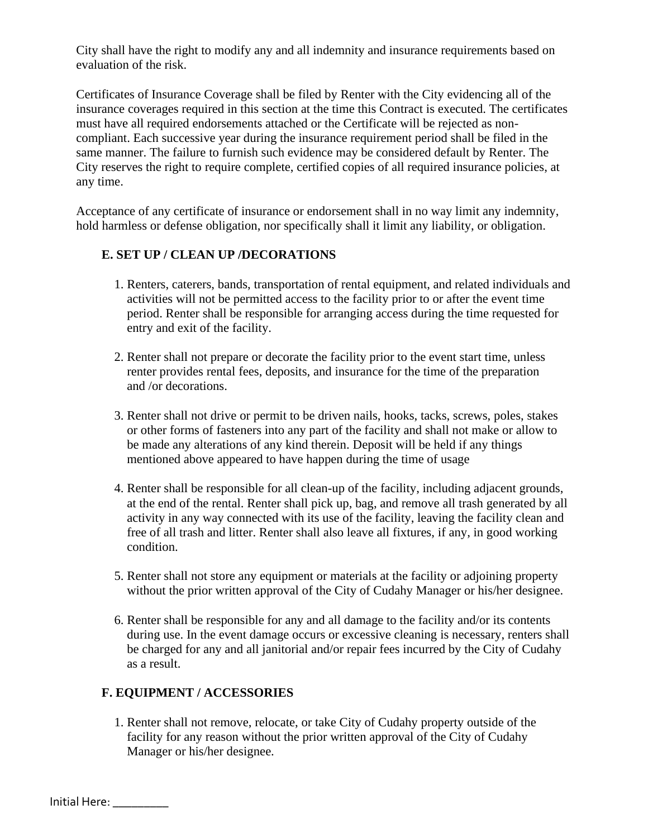City shall have the right to modify any and all indemnity and insurance requirements based on evaluation of the risk.

Certificates of Insurance Coverage shall be filed by Renter with the City evidencing all of the insurance coverages required in this section at the time this Contract is executed. The certificates must have all required endorsements attached or the Certificate will be rejected as noncompliant. Each successive year during the insurance requirement period shall be filed in the same manner. The failure to furnish such evidence may be considered default by Renter. The City reserves the right to require complete, certified copies of all required insurance policies, at any time.

Acceptance of any certificate of insurance or endorsement shall in no way limit any indemnity, hold harmless or defense obligation, nor specifically shall it limit any liability, or obligation.

#### **E. SET UP / CLEAN UP /DECORATIONS**

- 1. Renters, caterers, bands, transportation of rental equipment, and related individuals and activities will not be permitted access to the facility prior to or after the event time period. Renter shall be responsible for arranging access during the time requested for entry and exit of the facility.
- 2. Renter shall not prepare or decorate the facility prior to the event start time, unless renter provides rental fees, deposits, and insurance for the time of the preparation and /or decorations.
- 3. Renter shall not drive or permit to be driven nails, hooks, tacks, screws, poles, stakes or other forms of fasteners into any part of the facility and shall not make or allow to be made any alterations of any kind therein. Deposit will be held if any things mentioned above appeared to have happen during the time of usage
- 4. Renter shall be responsible for all clean-up of the facility, including adjacent grounds, at the end of the rental. Renter shall pick up, bag, and remove all trash generated by all activity in any way connected with its use of the facility, leaving the facility clean and free of all trash and litter. Renter shall also leave all fixtures, if any, in good working condition.
- 5. Renter shall not store any equipment or materials at the facility or adjoining property without the prior written approval of the City of Cudahy Manager or his/her designee.
- 6. Renter shall be responsible for any and all damage to the facility and/or its contents during use. In the event damage occurs or excessive cleaning is necessary, renters shall be charged for any and all janitorial and/or repair fees incurred by the City of Cudahy as a result.

## **F. EQUIPMENT / ACCESSORIES**

1. Renter shall not remove, relocate, or take City of Cudahy property outside of the facility for any reason without the prior written approval of the City of Cudahy Manager or his/her designee.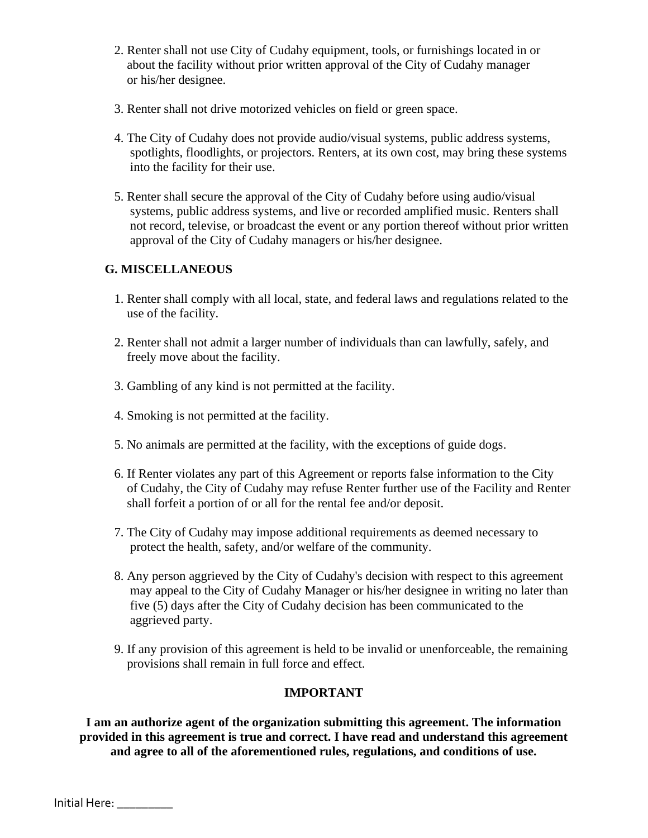- 2. Renter shall not use City of Cudahy equipment, tools, or furnishings located in or about the facility without prior written approval of the City of Cudahy manager or his/her designee.
- 3. Renter shall not drive motorized vehicles on field or green space.
- 4. The City of Cudahy does not provide audio/visual systems, public address systems, spotlights, floodlights, or projectors. Renters, at its own cost, may bring these systems into the facility for their use.
- 5. Renter shall secure the approval of the City of Cudahy before using audio/visual systems, public address systems, and live or recorded amplified music. Renters shall not record, televise, or broadcast the event or any portion thereof without prior written approval of the City of Cudahy managers or his/her designee.

## **G. MISCELLANEOUS**

- 1. Renter shall comply with all local, state, and federal laws and regulations related to the use of the facility.
- 2. Renter shall not admit a larger number of individuals than can lawfully, safely, and freely move about the facility.
- 3. Gambling of any kind is not permitted at the facility.
- 4. Smoking is not permitted at the facility.
- 5. No animals are permitted at the facility, with the exceptions of guide dogs.
- 6. If Renter violates any part of this Agreement or reports false information to the City of Cudahy, the City of Cudahy may refuse Renter further use of the Facility and Renter shall forfeit a portion of or all for the rental fee and/or deposit.
- 7. The City of Cudahy may impose additional requirements as deemed necessary to protect the health, safety, and/or welfare of the community.
- 8. Any person aggrieved by the City of Cudahy's decision with respect to this agreement may appeal to the City of Cudahy Manager or his/her designee in writing no later than five (5) days after the City of Cudahy decision has been communicated to the aggrieved party.
- 9. If any provision of this agreement is held to be invalid or unenforceable, the remaining provisions shall remain in full force and effect.

## **IMPORTANT**

**I am an authorize agent of the organization submitting this agreement. The information provided in this agreement is true and correct. I have read and understand this agreement and agree to all of the aforementioned rules, regulations, and conditions of use.**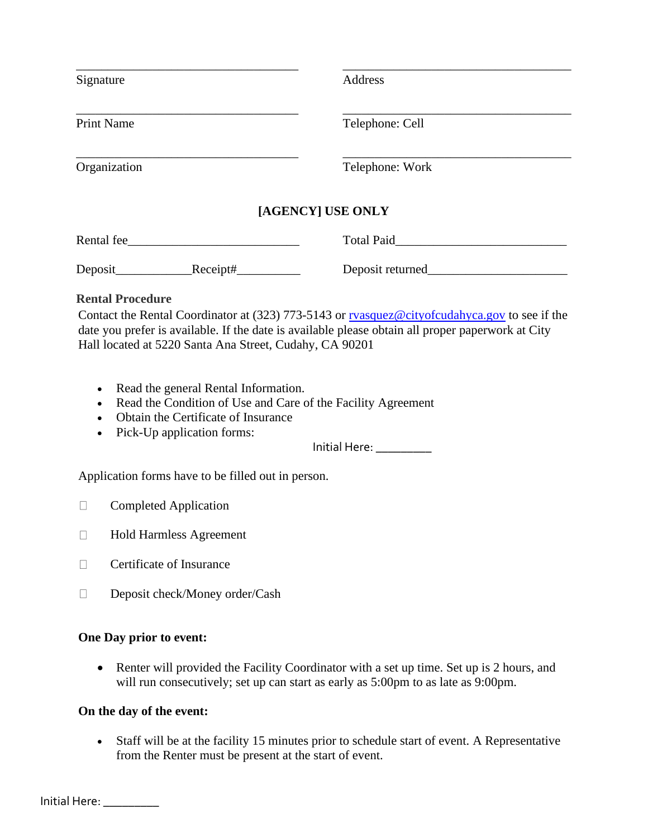| Signature                                               | Address                                                                                                                                                                                            |
|---------------------------------------------------------|----------------------------------------------------------------------------------------------------------------------------------------------------------------------------------------------------|
| <b>Print Name</b>                                       | Telephone: Cell                                                                                                                                                                                    |
| Organization                                            | Telephone: Work                                                                                                                                                                                    |
|                                                         | [AGENCY] USE ONLY                                                                                                                                                                                  |
| Rental fee                                              | Total Paid                                                                                                                                                                                         |
|                                                         | Deposit returned                                                                                                                                                                                   |
| <b>Rental Procedure</b>                                 |                                                                                                                                                                                                    |
| Hall located at 5220 Santa Ana Street, Cudahy, CA 90201 | Contact the Rental Coordinator at (323) 773-5143 or ryasquez@cityofcudahyca.gov to see if the<br>date you prefer is available. If the date is available please obtain all proper paperwork at City |

- Read the general Rental Information.
- Read the Condition of Use and Care of the Facility Agreement
- Obtain the Certificate of Insurance
- Pick-Up application forms:

Initial Here: \_\_\_\_\_\_\_\_\_

Application forms have to be filled out in person.

- **Completed Application**
- Hold Harmless Agreement
- $\Box$  Certificate of Insurance
- Deposit check/Money order/Cash

#### **One Day prior to event:**

• Renter will provided the Facility Coordinator with a set up time. Set up is 2 hours, and will run consecutively; set up can start as early as 5:00pm to as late as 9:00pm.

#### **On the day of the event:**

• Staff will be at the facility 15 minutes prior to schedule start of event. A Representative from the Renter must be present at the start of event.